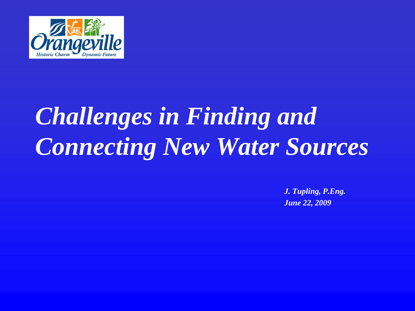

# *Challenges in Finding and Connecting New Water Sources*

*J. Tupling, P.Eng. June 22, 2009*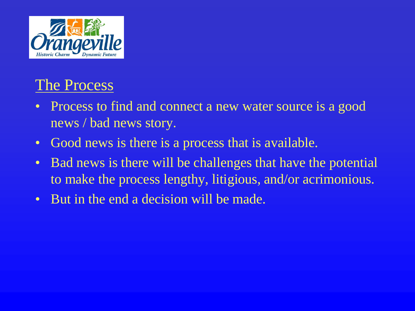

## The Process

- Process to find and connect a new water source is a good news / bad news story.
- Good news is there is a process that is available.
- Bad news is there will be challenges that have the potential to make the process lengthy, litigious, and/or acrimonious.
- But in the end a decision will be made.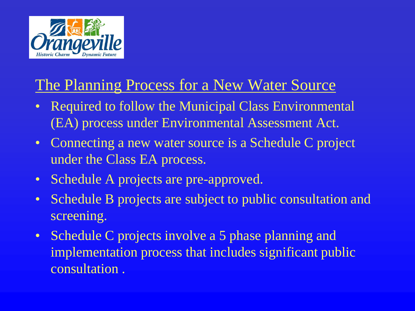

## The Planning Process for a New Water Source

- Required to follow the Municipal Class Environmental (EA) process under Environmental Assessment Act.
- Connecting a new water source is a Schedule C project under the Class EA process.
- Schedule A projects are pre-approved.
- Schedule B projects are subject to public consultation and screening.
- Schedule C projects involve a 5 phase planning and implementation process that includes significant public consultation .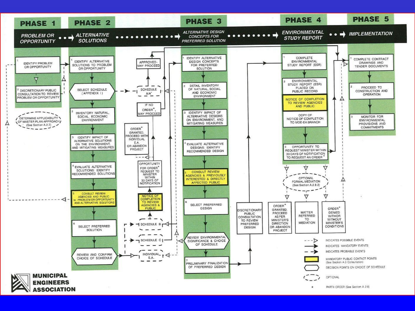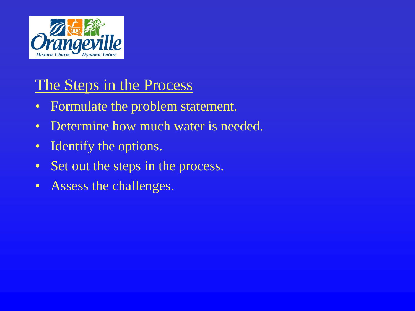

## The Steps in the Process

- Formulate the problem statement.
- Determine how much water is needed.
- Identify the options.
- Set out the steps in the process.
- Assess the challenges.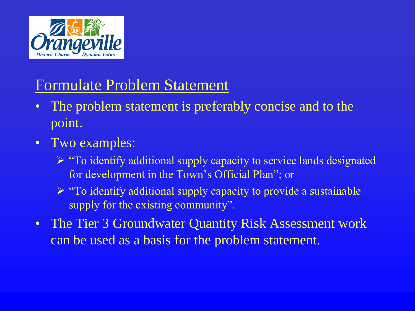

## Formulate Problem Statement

- The problem statement is preferably concise and to the point.
- Two examples:
	- $\triangleright$  "To identify additional supply capacity to service lands designated for development in the Town's Official Plan"; or
	- $\triangleright$  "To identify additional supply capacity to provide a sustainable supply for the existing community".
- The Tier 3 Groundwater Quantity Risk Assessment work can be used as a basis for the problem statement.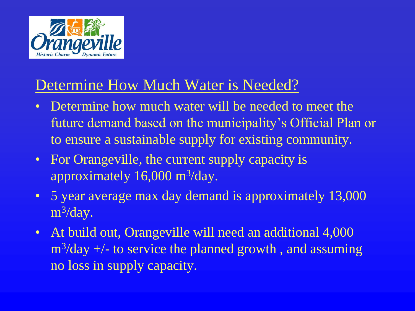

#### Determine How Much Water is Needed?

- Determine how much water will be needed to meet the future demand based on the municipality's Official Plan or to ensure a sustainable supply for existing community.
- For Orangeville, the current supply capacity is approximately 16,000 m<sup>3</sup>/day.
- 5 year average max day demand is approximately 13,000 m<sup>3</sup>/day.
- At build out, Orangeville will need an additional 4,000 m<sup>3</sup>/day +/- to service the planned growth, and assuming no loss in supply capacity.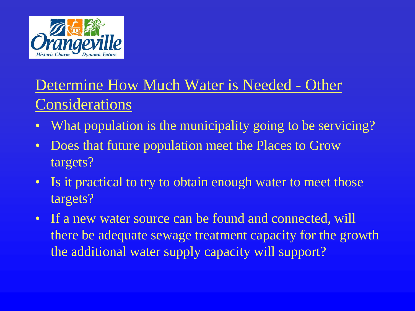

# Determine How Much Water is Needed - Other **Considerations**

- What population is the municipality going to be servicing?
- Does that future population meet the Places to Grow targets?
- Is it practical to try to obtain enough water to meet those targets?
- If a new water source can be found and connected, will there be adequate sewage treatment capacity for the growth the additional water supply capacity will support?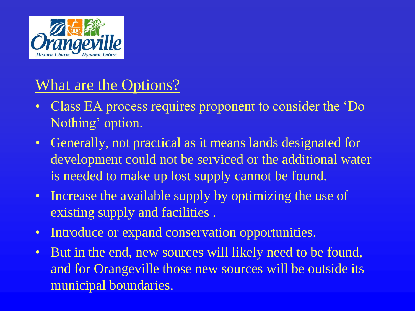

#### What are the Options?

- Class EA process requires proponent to consider the 'Do Nothing' option.
- Generally, not practical as it means lands designated for development could not be serviced or the additional water is needed to make up lost supply cannot be found.
- Increase the available supply by optimizing the use of existing supply and facilities .
- Introduce or expand conservation opportunities.
- But in the end, new sources will likely need to be found, and for Orangeville those new sources will be outside its municipal boundaries.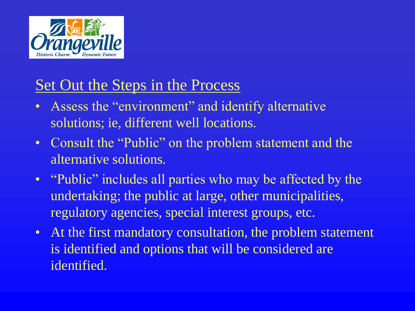

### Set Out the Steps in the Process

- Assess the "environment" and identify alternative solutions; ie, different well locations.
- Consult the "Public" on the problem statement and the alternative solutions.
- "Public" includes all parties who may be affected by the undertaking; the public at large, other municipalities, regulatory agencies, special interest groups, etc.
- At the first mandatory consultation, the problem statement is identified and options that will be considered are identified.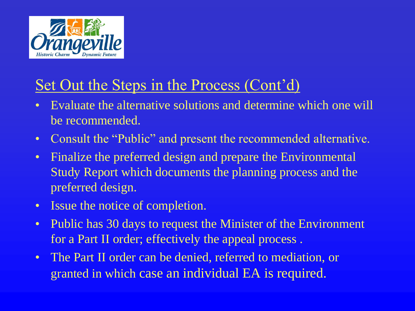

## Set Out the Steps in the Process (Cont'd)

- Evaluate the alternative solutions and determine which one will be recommended.
- Consult the "Public" and present the recommended alternative.
- Finalize the preferred design and prepare the Environmental Study Report which documents the planning process and the preferred design.
- Issue the notice of completion.
- Public has 30 days to request the Minister of the Environment for a Part II order; effectively the appeal process .
- The Part II order can be denied, referred to mediation, or granted in which case an individual EA is required.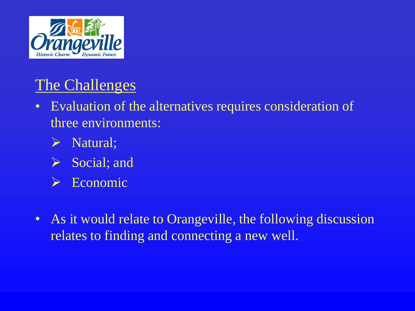

# The Challenges

- Evaluation of the alternatives requires consideration of three environments:
	- $\triangleright$  Natural;
	- $\triangleright$  Social; and
	- $\triangleright$  Economic
- As it would relate to Orangeville, the following discussion relates to finding and connecting a new well.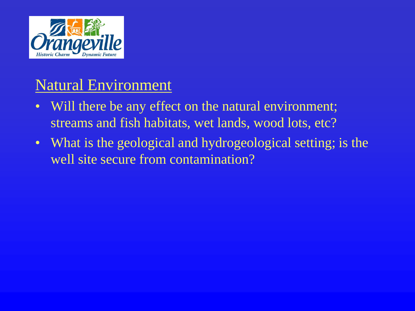

#### Natural Environment

- Will there be any effect on the natural environment; streams and fish habitats, wet lands, wood lots, etc?
- What is the geological and hydrogeological setting; is the well site secure from contamination?